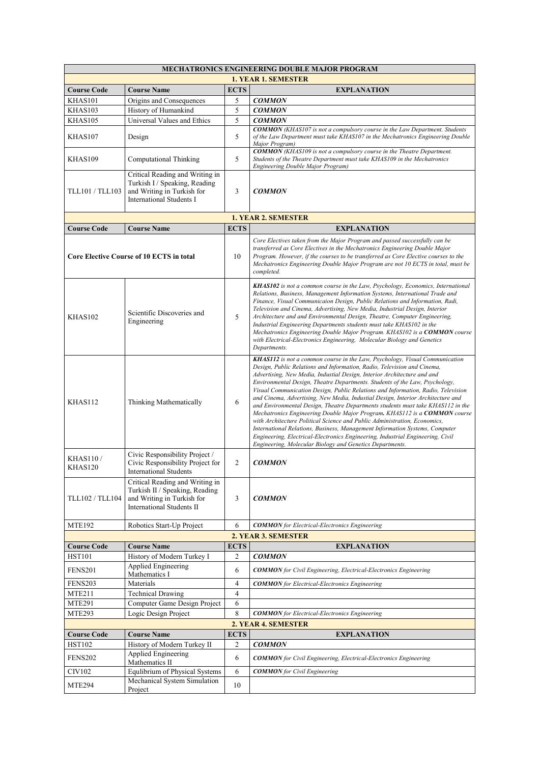| MECHATRONICS ENGINEERING DOUBLE MAJOR PROGRAM   |                                                                                                                                   |                |                                                                                                                                                                                                                                                                                                                                                                                                                                                                                                                                                                                                                                                                                                                                                                                                                                                                                                                                                                   |  |  |
|-------------------------------------------------|-----------------------------------------------------------------------------------------------------------------------------------|----------------|-------------------------------------------------------------------------------------------------------------------------------------------------------------------------------------------------------------------------------------------------------------------------------------------------------------------------------------------------------------------------------------------------------------------------------------------------------------------------------------------------------------------------------------------------------------------------------------------------------------------------------------------------------------------------------------------------------------------------------------------------------------------------------------------------------------------------------------------------------------------------------------------------------------------------------------------------------------------|--|--|
|                                                 |                                                                                                                                   |                | <b>1. YEAR 1. SEMESTER</b>                                                                                                                                                                                                                                                                                                                                                                                                                                                                                                                                                                                                                                                                                                                                                                                                                                                                                                                                        |  |  |
| <b>Course Code</b>                              | <b>Course Name</b>                                                                                                                | <b>ECTS</b>    | <b>EXPLANATION</b>                                                                                                                                                                                                                                                                                                                                                                                                                                                                                                                                                                                                                                                                                                                                                                                                                                                                                                                                                |  |  |
| KHAS101                                         | Origins and Consequences                                                                                                          | 5              | <b>COMMON</b>                                                                                                                                                                                                                                                                                                                                                                                                                                                                                                                                                                                                                                                                                                                                                                                                                                                                                                                                                     |  |  |
| KHAS103                                         | History of Humankind                                                                                                              | 5              | <b>COMMON</b>                                                                                                                                                                                                                                                                                                                                                                                                                                                                                                                                                                                                                                                                                                                                                                                                                                                                                                                                                     |  |  |
| KHAS105                                         | Universal Values and Ethics                                                                                                       | 5              | <b>COMMON</b><br><b>COMMON</b> (KHAS107 is not a compulsory course in the Law Department. Students                                                                                                                                                                                                                                                                                                                                                                                                                                                                                                                                                                                                                                                                                                                                                                                                                                                                |  |  |
| KHAS107                                         | Design                                                                                                                            | 5              | of the Law Department must take KHAS107 in the Mechatronics Engineering Double<br>Major Program)                                                                                                                                                                                                                                                                                                                                                                                                                                                                                                                                                                                                                                                                                                                                                                                                                                                                  |  |  |
| KHAS109                                         | Computational Thinking                                                                                                            | 5              | <b>COMMON</b> (KHAS109 is not a compulsory course in the Theatre Department.<br>Students of the Theatre Department must take KHAS109 in the Mechatronics<br>Engineering Double Major Program)                                                                                                                                                                                                                                                                                                                                                                                                                                                                                                                                                                                                                                                                                                                                                                     |  |  |
| TLL101 / TLL103                                 | Critical Reading and Writing in<br>Turkish I / Speaking, Reading<br>and Writing in Turkish for<br><b>International Students I</b> | 3              | <b>COMMON</b>                                                                                                                                                                                                                                                                                                                                                                                                                                                                                                                                                                                                                                                                                                                                                                                                                                                                                                                                                     |  |  |
| <b>1. YEAR 2. SEMESTER</b>                      |                                                                                                                                   |                |                                                                                                                                                                                                                                                                                                                                                                                                                                                                                                                                                                                                                                                                                                                                                                                                                                                                                                                                                                   |  |  |
| <b>Course Code</b>                              | <b>Course Name</b>                                                                                                                | <b>ECTS</b>    | <b>EXPLANATION</b>                                                                                                                                                                                                                                                                                                                                                                                                                                                                                                                                                                                                                                                                                                                                                                                                                                                                                                                                                |  |  |
| <b>Core Elective Course of 10 ECTS in total</b> |                                                                                                                                   | 10             | Core Electives taken from the Major Program and passed successfully can be<br>transferred as Core Electives in the Mechatronics Engineering Double Major<br>Program. However, if the courses to be transferred as Core Elective courses to the<br>Mechatronics Engineering Double Major Program are not 10 ECTS in total, must be<br>completed.                                                                                                                                                                                                                                                                                                                                                                                                                                                                                                                                                                                                                   |  |  |
| KHAS102                                         | Scientific Discoveries and<br>Engineering                                                                                         | 5              | KHAS102 is not a common course in the Law, Psychology, Economics, International<br>Relations, Business, Management Information Systems, International Trade and<br>Finance, Visual Communicaion Design, Public Relations and Information, Radi,<br>Television and Cinema, Advertising, New Media, Industrial Design, Interior<br>Architecture and and Environmental Design, Theatre, Computer Engineering,<br>Industrial Engineering Departments students must take KHAS102 in the<br>Mechatronics Engineering Double Major Program. KHAS102 is a COMMON course<br>with Electrical-Electronics Engineering, Molecular Biology and Genetics<br>Departments.                                                                                                                                                                                                                                                                                                        |  |  |
| KHAS112                                         | Thinking Mathematically                                                                                                           | 6              | KHAS112 is not a common course in the Law, Psychology, Visual Communication<br>Design, Public Relations and Information, Radio, Television and Cinema,<br>Advertising, New Media, Industial Design, Interior Architecture and and<br>Environmental Design, Theatre Departments. Students of the Law, Psychology,<br>Visual Communication Design, Public Relations and Information, Radio, Television<br>and Cinema, Advertising, New Media, Industial Design, Interior Architecture and<br>and Environmental Design, Theatre Departments students must take KHAS112 in the<br>Mechatronics Engineering Double Major Program. KHAS112 is a COMMON course<br>with Architecture Political Science and Public Administration, Economics,<br>International Relations, Business, Management Information Systems, Computer<br>Engineering, Electrical-Electronics Engineering, Industrial Engineering, Civil<br>Engineering, Molecular Biology and Genetics Departments. |  |  |
| <b>KHAS110/</b><br>KHAS120                      | Civic Responsibility Project /<br>Civic Responsibility Project for<br>International Students                                      | $\overline{2}$ | <b>COMMON</b>                                                                                                                                                                                                                                                                                                                                                                                                                                                                                                                                                                                                                                                                                                                                                                                                                                                                                                                                                     |  |  |
| TLL102 / TLL104                                 | Critical Reading and Writing in<br>Turkish II / Speaking, Reading<br>and Writing in Turkish for<br>International Students II      | 3              | <b>COMMON</b>                                                                                                                                                                                                                                                                                                                                                                                                                                                                                                                                                                                                                                                                                                                                                                                                                                                                                                                                                     |  |  |
| <b>MTE192</b>                                   | Robotics Start-Up Project                                                                                                         | 6              | <b>COMMON</b> for Electrical-Electronics Engineering                                                                                                                                                                                                                                                                                                                                                                                                                                                                                                                                                                                                                                                                                                                                                                                                                                                                                                              |  |  |
|                                                 |                                                                                                                                   |                | 2. YEAR 3. SEMESTER                                                                                                                                                                                                                                                                                                                                                                                                                                                                                                                                                                                                                                                                                                                                                                                                                                                                                                                                               |  |  |
| <b>Course Code</b>                              | <b>Course Name</b>                                                                                                                | <b>ECTS</b>    | <b>EXPLANATION</b>                                                                                                                                                                                                                                                                                                                                                                                                                                                                                                                                                                                                                                                                                                                                                                                                                                                                                                                                                |  |  |
| <b>HST101</b>                                   | History of Modern Turkey I                                                                                                        | $\overline{c}$ | <b>COMMON</b>                                                                                                                                                                                                                                                                                                                                                                                                                                                                                                                                                                                                                                                                                                                                                                                                                                                                                                                                                     |  |  |
| <b>FENS201</b>                                  | Applied Engineering<br>Mathematics I                                                                                              | 6              | <b>COMMON</b> for Civil Engineering, Electrical-Electronics Engineering                                                                                                                                                                                                                                                                                                                                                                                                                                                                                                                                                                                                                                                                                                                                                                                                                                                                                           |  |  |
| FENS203                                         | Materials                                                                                                                         | 4              | <b>COMMON</b> for Electrical-Electronics Engineering                                                                                                                                                                                                                                                                                                                                                                                                                                                                                                                                                                                                                                                                                                                                                                                                                                                                                                              |  |  |
| <b>MTE211</b>                                   | <b>Technical Drawing</b>                                                                                                          | $\overline{4}$ |                                                                                                                                                                                                                                                                                                                                                                                                                                                                                                                                                                                                                                                                                                                                                                                                                                                                                                                                                                   |  |  |
| <b>MTE291</b>                                   | Computer Game Design Project                                                                                                      | 6              |                                                                                                                                                                                                                                                                                                                                                                                                                                                                                                                                                                                                                                                                                                                                                                                                                                                                                                                                                                   |  |  |
| <b>MTE293</b>                                   | Logic Design Project                                                                                                              | 8              | <b>COMMON</b> for Electrical-Electronics Engineering                                                                                                                                                                                                                                                                                                                                                                                                                                                                                                                                                                                                                                                                                                                                                                                                                                                                                                              |  |  |
|                                                 |                                                                                                                                   |                | 2. YEAR 4. SEMESTER                                                                                                                                                                                                                                                                                                                                                                                                                                                                                                                                                                                                                                                                                                                                                                                                                                                                                                                                               |  |  |
| <b>Course Code</b>                              | <b>Course Name</b>                                                                                                                | <b>ECTS</b>    | <b>EXPLANATION</b>                                                                                                                                                                                                                                                                                                                                                                                                                                                                                                                                                                                                                                                                                                                                                                                                                                                                                                                                                |  |  |
| <b>HST102</b>                                   | History of Modern Turkey II                                                                                                       | 2              | <b>COMMON</b>                                                                                                                                                                                                                                                                                                                                                                                                                                                                                                                                                                                                                                                                                                                                                                                                                                                                                                                                                     |  |  |
| <b>FENS202</b>                                  | Applied Engineering<br>Mathematics II                                                                                             | 6              | <b>COMMON</b> for Civil Engineering, Electrical-Electronics Engineering                                                                                                                                                                                                                                                                                                                                                                                                                                                                                                                                                                                                                                                                                                                                                                                                                                                                                           |  |  |
| CIV102                                          | Equlibrium of Physical Systems                                                                                                    | 6              | <b>COMMON</b> for Civil Engineering                                                                                                                                                                                                                                                                                                                                                                                                                                                                                                                                                                                                                                                                                                                                                                                                                                                                                                                               |  |  |
| <b>MTE294</b>                                   | Mechanical System Simulation                                                                                                      | 10             |                                                                                                                                                                                                                                                                                                                                                                                                                                                                                                                                                                                                                                                                                                                                                                                                                                                                                                                                                                   |  |  |
|                                                 | Project                                                                                                                           |                |                                                                                                                                                                                                                                                                                                                                                                                                                                                                                                                                                                                                                                                                                                                                                                                                                                                                                                                                                                   |  |  |